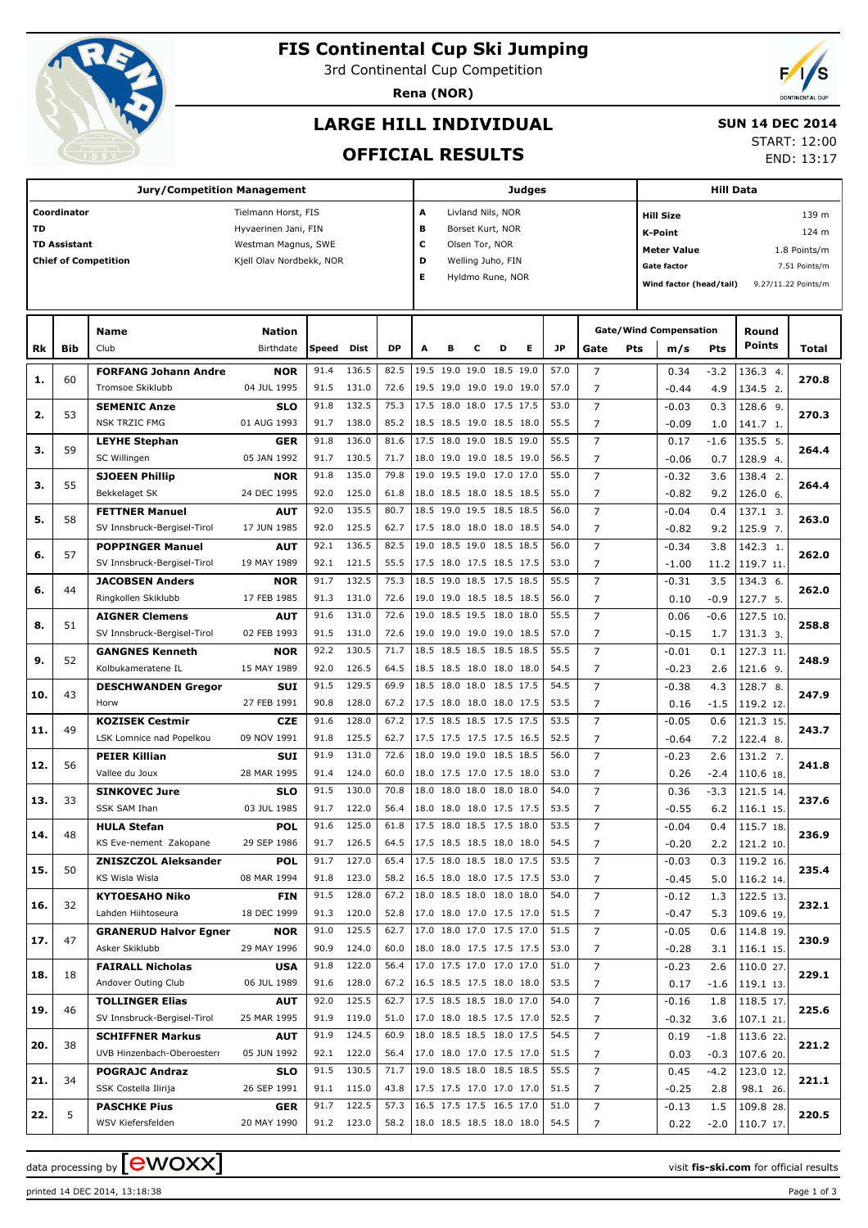

# **FIS Continental Cup Ski Jumping**

3rd Continental Cup Competition

**Rena (NOR)**



# **LARGE HILL INDIVIDUAL**

#### **SUN 14 DEC 2014**

**OFFICIAL RESULTS**

|  | ------------        |  |
|--|---------------------|--|
|  | <b>START: 12:00</b> |  |
|  |                     |  |

END: 13:17

|     |                     | <b>Jury/Competition Management</b> |                          |       |            |                                 |      |                            |                   |   | Judges |      |                |                  | <b>Hill Data</b>              |                  |                    |                     |  |
|-----|---------------------|------------------------------------|--------------------------|-------|------------|---------------------------------|------|----------------------------|-------------------|---|--------|------|----------------|------------------|-------------------------------|------------------|--------------------|---------------------|--|
|     | Coordinator         |                                    | Tielmann Horst, FIS      |       |            |                                 | А    |                            | Livland Nils, NOR |   |        |      |                | <b>Hill Size</b> |                               |                  |                    | 139 m               |  |
| TD  |                     |                                    | Hyvaerinen Jani, FIN     |       |            |                                 | в    |                            | Borset Kurt, NOR  |   |        |      |                |                  | <b>K-Point</b>                |                  |                    | 124 m               |  |
|     | <b>TD Assistant</b> |                                    | Westman Magnus, SWE      |       |            |                                 | c    |                            | Olsen Tor, NOR    |   |        |      |                |                  |                               |                  |                    |                     |  |
|     |                     | <b>Chief of Competition</b>        | Kjell Olav Nordbekk, NOR |       |            |                                 | D    |                            | Welling Juho, FIN |   |        |      |                |                  | <b>Meter Value</b>            |                  |                    | 1.8 Points/m        |  |
|     |                     |                                    |                          |       |            |                                 | Е    |                            | Hyldmo Rune, NOR  |   |        |      |                |                  | Gate factor                   |                  |                    | 7.51 Points/m       |  |
|     |                     |                                    |                          |       |            |                                 |      |                            |                   |   |        |      |                |                  | Wind factor (head/tail)       |                  |                    | 9.27/11.22 Points/m |  |
|     |                     |                                    |                          |       |            |                                 |      |                            |                   |   |        |      |                |                  |                               |                  |                    |                     |  |
|     |                     | Name                               | <b>Nation</b>            |       |            |                                 |      |                            |                   |   |        |      |                |                  | <b>Gate/Wind Compensation</b> |                  | Round              |                     |  |
| Rk  | <b>Bib</b>          | Club                               | Birthdate                | Speed | Dist       | <b>DP</b>                       | A    | в                          | с                 | D | Е      | JP   | Gate           | Pts              | m/s                           | <b>Pts</b>       | <b>Points</b>      | Total               |  |
|     |                     |                                    |                          |       |            |                                 |      |                            |                   |   |        |      |                |                  |                               |                  |                    |                     |  |
| 1.  | 60                  | <b>FORFANG Johann Andre</b>        | <b>NOR</b>               | 91.4  | 136.5      | 82.5                            |      | 19.5 19.0 19.0 18.5 19.0   |                   |   |        | 57.0 | $\overline{7}$ |                  | 0.34                          | $-3.2$           | 136.3 4.           | 270.8               |  |
|     |                     | Tromsoe Skiklubb                   | 04 JUL 1995              | 91.5  | 131.0      | 72.6                            |      | 19.5 19.0 19.0 19.0 19.0   |                   |   |        | 57.0 | 7              |                  | $-0.44$                       | 4.9              | 134.5 2.           |                     |  |
| 2.  | 53                  | <b>SEMENIC Anze</b>                | <b>SLO</b>               | 91.8  | 132.5      | 75.3                            |      | 17.5 18.0 18.0 17.5 17.5   |                   |   |        | 53.0 | $\overline{7}$ |                  | $-0.03$                       | 0.3              | 128.6 9.           | 270.3               |  |
|     |                     | <b>NSK TRZIC FMG</b>               | 01 AUG 1993              | 91.7  | 138.0      | 85.2                            |      | 18.5 18.5 19.0 18.5 18.0   |                   |   |        | 55.5 | 7              |                  | $-0.09$                       | 1.0              | 141.7 1.           |                     |  |
|     | 59                  | <b>LEYHE Stephan</b>               | <b>GER</b>               | 91.8  | 136.0      | 81.6                            |      | 17.5 18.0 19.0 18.5 19.0   |                   |   |        | 55.5 | $\overline{7}$ |                  | 0.17                          | $-1.6$           | 135.5 5.           | 264.4               |  |
| з.  |                     | SC Willingen                       | 05 JAN 1992              | 91.7  | 130.5      | 71.7                            |      | 18.0 19.0 19.0 18.5 19.0   |                   |   |        | 56.5 | 7              |                  | $-0.06$                       | 0.7              | 128.9 4.           |                     |  |
|     |                     | <b>SJOEEN Phillip</b>              | <b>NOR</b>               | 91.8  | 135.0      | 79.8                            | 19.0 | 19.5 19.0 17.0 17.0        |                   |   |        | 55.0 | $\overline{7}$ |                  | $-0.32$                       | 3.6              | 138.4 2.           |                     |  |
| з.  | 55                  | Bekkelaget SK                      | 24 DEC 1995              | 92.0  | 125.0      | 61.8                            |      | 18.0 18.5 18.0 18.5 18.5   |                   |   |        | 55.0 | 7              |                  | $-0.82$                       | 9.2              | 126.0 6.           | 264.4               |  |
|     |                     | <b>FETTNER Manuel</b>              | <b>AUT</b>               | 92.0  | 135.5      | 80.7                            |      | 18.5 19.0 19.5 18.5 18.5   |                   |   |        | 56.0 | $\overline{7}$ |                  | $-0.04$                       | 0.4              | 137.1 3.           |                     |  |
| 5.  | 58                  | SV Innsbruck-Bergisel-Tirol        | 17 JUN 1985              | 92.0  | 125.5      | 62.7                            |      | 17.5 18.0 18.0 18.0 18.5   |                   |   |        | 54.0 | 7              |                  | $-0.82$                       | 9.2              | 125.9 7.           | 263.0               |  |
|     |                     | <b>POPPINGER Manuel</b>            | <b>AUT</b>               | 92.1  | 136.5      | 82.5                            | 19.0 | 18.5 19.0 18.5 18.5        |                   |   |        | 56.0 | $\overline{7}$ |                  | $-0.34$                       | 3.8              | 142.3 1.           |                     |  |
| 6.  | 57                  | SV Innsbruck-Bergisel-Tirol        | 19 MAY 1989              | 92.1  | 121.5      | 55.5                            |      | 17.5 18.0 17.5 18.5 17.5   |                   |   |        | 53.0 | 7              |                  | $-1.00$                       | 11.2             | 119.7 11.          | 262.0               |  |
|     |                     |                                    |                          | 91.7  | 132.5      | 75.3                            |      | 18.5 19.0 18.5 17.5 18.5   |                   |   |        | 55.5 | $\overline{7}$ |                  |                               |                  |                    |                     |  |
| 6.  | 44                  | <b>JACOBSEN Anders</b>             | <b>NOR</b>               |       |            |                                 |      |                            |                   |   |        |      |                |                  | $-0.31$                       | 3.5              | 134.3 6.           | 262.0               |  |
|     |                     | Ringkollen Skiklubb                | 17 FEB 1985              | 91.3  | 131.0      | 72.6                            |      | 19.0 19.0 18.5 18.5 18.5   |                   |   |        | 56.0 | 7              |                  | 0.10                          | $-0.9$           | 127.7 5.           |                     |  |
| 8.  | 51                  | <b>AIGNER Clemens</b>              | <b>AUT</b>               | 91.6  | 131.0      | 72.6                            | 19.0 | 18.5 19.5 18.0 18.0        |                   |   |        | 55.5 | $\overline{7}$ |                  | 0.06                          | $-0.6$           | 127.5 10.          | 258.8               |  |
|     |                     | SV Innsbruck-Bergisel-Tirol        | 02 FEB 1993              | 91.5  | 131.0      | 72.6                            |      | 19.0 19.0 19.0 19.0 18.5   |                   |   |        | 57.0 | 7              |                  | $-0.15$                       | 1.7              | 131.3 3.           |                     |  |
| 9.  | 52                  | <b>GANGNES Kenneth</b>             | <b>NOR</b>               | 92.2  | 130.5      | 71.7                            |      | 18.5 18.5 18.5 18.5 18.5   |                   |   |        | 55.5 | $\overline{7}$ |                  | $-0.01$                       | 0.1              | 127.3 11.          | 248.9               |  |
|     |                     | Kolbukameratene IL                 | 15 MAY 1989              | 92.0  | 126.5      | 64.5                            |      | 18.5 18.5 18.0 18.0 18.0   |                   |   |        | 54.5 | 7              |                  | $-0.23$                       | 2.6              | 121.6 9.           |                     |  |
| 10. | 43                  | <b>DESCHWANDEN Gregor</b>          | <b>SUI</b>               | 91.5  | 129.5      | 69.9                            |      | 18.5 18.0 18.0 18.5 17.5   |                   |   |        | 54.5 | $\overline{7}$ |                  | $-0.38$                       | 4.3              | 128.7 8.           | 247.9               |  |
|     |                     | Horw                               | 27 FEB 1991              | 90.8  | 128.0      | 67.2                            |      | 17.5 18.0 18.0 18.0 17.5   |                   |   |        | 53.5 | 7              |                  | 0.16                          | $-1.5$           | 119.2 12.          |                     |  |
|     |                     | <b>KOZISEK Cestmir</b>             | <b>CZE</b>               | 91.6  | 128.0      | 67.2                            |      | 17.5 18.5 18.5 17.5 17.5   |                   |   |        | 53.5 | $\overline{7}$ |                  | $-0.05$                       | 0.6              | 121.3 15.          |                     |  |
| 11. | 49                  | LSK Lomnice nad Popelkou           | 09 NOV 1991              | 91.8  | 125.5      | 62.7                            |      | 17.5 17.5 17.5 17.5 16.5   |                   |   |        | 52.5 | 7              |                  | $-0.64$                       | 7.2              | 122.4 8.           | 243.7               |  |
|     |                     | <b>PEIER Killian</b>               | <b>SUI</b>               | 91.9  | 131.0      | 72.6                            | 18.0 | 19.0 19.0 18.5 18.5        |                   |   |        | 56.0 | $\overline{7}$ |                  | $-0.23$                       | 2.6              | 131.2 7.           |                     |  |
| 12. | 56                  | Vallee du Joux                     | 28 MAR 1995              | 91.4  | 124.0      | 60.0                            |      | 18.0 17.5 17.0 17.5 18.0   |                   |   |        | 53.0 | 7              |                  | 0.26                          | $-2.4$           | 110.6 18.          | 241.8               |  |
|     |                     | <b>SINKOVEC Jure</b>               | <b>SLO</b>               | 91.5  | 130.0      | 70.8                            | 18.0 | 18.0 18.0 18.0 18.0        |                   |   |        | 54.0 | $\overline{7}$ |                  | 0.36                          | $-3.3$           | 121.5 14.          |                     |  |
| 13. | 33                  | SSK SAM Ihan                       | 03 JUL 1985              | 91.7  | 122.0      | 56.4                            |      | 18.0 18.0 18.0 17.5 17.5   |                   |   |        | 53.5 | 7              |                  | $-0.55$                       | 6.2              | 116.1 15.          | 237.6               |  |
|     |                     | <b>HULA Stefan</b>                 | <b>POL</b>               | 91.6  | 125.0      | 61.8                            |      | 17.5 18.0 18.5 17.5 18.0   |                   |   |        | 53.5 | 7              |                  | $-0.04$                       | 0.4              | 115.7 18.          |                     |  |
| 14. | 48                  | KS Eve-nement Zakopane             | 29 SEP 1986              |       | 91.7 126.5 | 64.5                            |      | $17.5$ 18.5 18.5 18.0 18.0 |                   |   |        | 54.5 | 7              |                  | $-0.20$                       |                  | $2.2$   121.2 10.  | 236.9               |  |
|     |                     | <b>ZNISZCZOL Aleksander</b>        | <b>POL</b>               | 91.7  | 127.0      | 65.4                            |      | 17.5 18.0 18.5 18.0 17.5   |                   |   |        | 53.5 | 7              |                  | $-0.03$                       | 0.3              | $119.2$ 16.        |                     |  |
| 15. | 50                  | KS Wisla Wisla                     | 08 MAR 1994              | 91.8  | 123.0      | 58.2                            |      | 16.5 18.0 18.0 17.5 17.5   |                   |   |        | 53.0 | 7              |                  | $-0.45$                       |                  | $5.0$   116.2 14.  | 235.4               |  |
|     |                     | <b>KYTOESAHO Niko</b>              |                          | 91.5  | 128.0      | 67.2                            |      | 18.0 18.5 18.0 18.0 18.0   |                   |   |        | 54.0 | 7              |                  |                               |                  | $\sqrt{122.5}$ 13. |                     |  |
| 16. | 32                  |                                    | FIN                      |       |            |                                 |      |                            |                   |   |        |      |                |                  | $-0.12$                       | 1.3              |                    | 232.1               |  |
|     |                     | Lahden Hiihtoseura                 | 18 DEC 1999              | 91.3  | 120.0      | 52.8                            |      | 17.0 18.0 17.0 17.5 17.0   |                   |   |        | 51.5 | 7              |                  | $-0.47$                       | 5.3              | 109.6 19.          |                     |  |
| 17. | 47                  | <b>GRANERUD Halvor Egner</b>       | <b>NOR</b>               | 91.0  | 125.5      | 62.7                            |      | 17.0 18.0 17.0 17.5 17.0   |                   |   |        | 51.5 | 7              |                  | $-0.05$                       | 0.6              | $114.8$ 19.        | 230.9               |  |
|     |                     | Asker Skiklubb                     | 29 MAY 1996              | 90.9  | 124.0      | 60.0                            |      | 18.0 18.0 17.5 17.5 17.5   |                   |   |        | 53.0 | 7              |                  | $-0.28$                       |                  | $3.1$   116.1 15.  |                     |  |
| 18. | 18                  | <b>FAIRALL Nicholas</b>            | <b>USA</b>               | 91.8  | 122.0      | 56.4                            |      | 17.0 17.5 17.0 17.0 17.0   |                   |   |        | 51.0 | 7              |                  | $-0.23$                       | 2.6              | 110.0 27.          | 229.1               |  |
|     |                     | Andover Outing Club                | 06 JUL 1989              | 91.6  | 128.0      | 67.2                            |      | $16.5$ 18.5 17.5 18.0 18.0 |                   |   |        | 53.5 | 7              |                  | 0.17                          |                  | $-1.6$   119.1 13. |                     |  |
| 19. | 46                  | <b>TOLLINGER Elias</b>             | <b>AUT</b>               | 92.0  | 125.5      | 62.7                            |      | 17.5 18.5 18.5 18.0 17.0   |                   |   |        | 54.0 | 7              |                  | $-0.16$                       | 1.8              | 118.5 17.          | 225.6               |  |
|     |                     | SV Innsbruck-Bergisel-Tirol        | 25 MAR 1995              | 91.9  | 119.0      | 51.0                            |      | 17.0 18.0 18.5 17.5 17.0   |                   |   |        | 52.5 | 7              |                  | $-0.32$                       |                  | $3.6$   107.1 21.  |                     |  |
|     |                     | <b>SCHIFFNER Markus</b>            | <b>AUT</b>               | 91.9  | 124.5      | 60.9                            |      | 18.0 18.5 18.5 18.0 17.5   |                   |   |        | 54.5 | 7              |                  | 0.19                          | -1.8             | 113.622.           |                     |  |
| 20. | 38                  | UVB Hinzenbach-Oberoesterr         | 05 JUN 1992              |       | 92.1 122.0 | 56.4                            |      | 17.0 18.0 17.0 17.5 17.0   |                   |   |        | 51.5 | 7              |                  | 0.03                          |                  | $-0.3$   107.6 20. | 221.2               |  |
|     |                     | <b>POGRAJC Andraz</b>              | <b>SLO</b>               | 91.5  | 130.5      | 71.7                            |      | 19.0 18.5 18.0 18.5 18.5   |                   |   |        | 55.5 | 7              |                  | 0.45                          |                  | $-4.2$   123.0 12. |                     |  |
| 21. | 34                  | SSK Costella Ilirija               | 26 SEP 1991              |       | 91.1 115.0 | 43.8                            |      | 17.5 17.5 17.0 17.0 17.0   |                   |   |        | 51.5 | 7              |                  | $-0.25$                       | 2.8              | 98.1 26.           | 221.1               |  |
|     |                     | <b>PASCHKE Pius</b>                | <b>GER</b>               | 91.7  | 122.5      | 57.3                            |      | 16.5 17.5 17.5 16.5 17.0   |                   |   |        | 51.0 | 7              |                  | $-0.13$                       | $1.5\phantom{0}$ | 109.8 28.          |                     |  |
| 22. | 5                   | WSV Kiefersfelden                  | 20 MAY 1990              |       | 91.2 123.0 | 58.2   18.0 18.5 18.5 18.0 18.0 |      |                            |                   |   |        | 54.5 | 7              |                  | 0.22                          |                  | $-2.0$   110.7 17. | 220.5               |  |

printed 14 DEC 2014, 13:18:38 Page 1 of 3

data processing by **CWOXX**  $\blacksquare$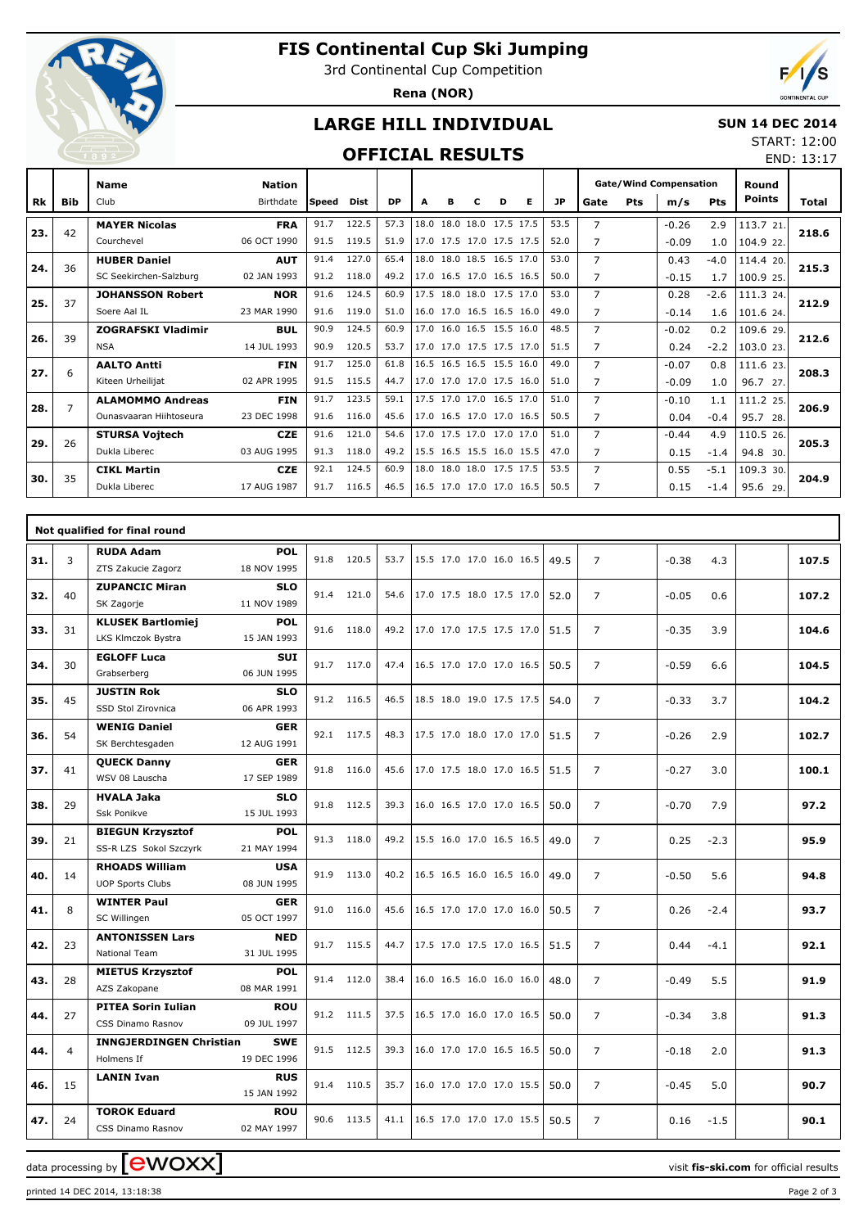

# **FIS Continental Cup Ski Jumping**

3rd Continental Cup Competition

**Rena (NOR)**



## **LARGE HILL INDIVIDUAL**

#### **SUN 14 DEC 2014** START: 12:00

### **OFFICIAL RESULTS**

|     |            | <b>OFFICIAL RESULTS</b><br>$-1892$                 |                            |              |                |              |   |   |                                                      |   |    |              |                                  |     |                                      |                  | END: 13:17             |       |
|-----|------------|----------------------------------------------------|----------------------------|--------------|----------------|--------------|---|---|------------------------------------------------------|---|----|--------------|----------------------------------|-----|--------------------------------------|------------------|------------------------|-------|
| Rk  | <b>Bib</b> | <b>Name</b><br>Club                                | <b>Nation</b><br>Birthdate | Speed        | <b>Dist</b>    | <b>DP</b>    | A | в | C                                                    | D | E. | <b>JP</b>    | Gate                             | Pts | <b>Gate/Wind Compensation</b><br>m/s | <b>Pts</b>       | Round<br><b>Points</b> | Total |
| 23. | 42         | <b>MAYER Nicolas</b><br>Courchevel                 | <b>FRA</b><br>06 OCT 1990  | 91.7<br>91.5 | 122.5<br>119.5 | 57.3<br>51.9 |   |   | 18.0 18.0 18.0 17.5 17.5<br>17.0 17.5 17.0 17.5 17.5 |   |    | 53.5<br>52.0 | $\overline{7}$<br>$\overline{7}$ |     | $-0.26$<br>$-0.09$                   | 2.9<br>1.0       | 113.7 21.<br>104.9 22. | 218.6 |
| 24. | 36         | <b>HUBER Daniel</b><br>SC Seekirchen-Salzburg      | <b>AUT</b><br>02 JAN 1993  | 91.4<br>91.2 | 127.0<br>118.0 | 65.4<br>49.2 |   |   | 18.0 18.0 18.5 16.5 17.0<br>17.0 16.5 17.0 16.5 16.5 |   |    | 53.0<br>50.0 | $\overline{7}$<br>7              |     | 0.43<br>$-0.15$                      | $-4.0$<br>1.7    | 114.4 20.<br>100.9 25. | 215.3 |
| 25. | 37         | <b>JOHANSSON Robert</b><br>Soere Aal IL            | <b>NOR</b><br>23 MAR 1990  | 91.6<br>91.6 | 124.5<br>119.0 | 60.9<br>51.0 |   |   | 17.5 18.0 18.0 17.5 17.0<br>16.0 17.0 16.5 16.5 16.0 |   |    | 53.0<br>49.0 | $\overline{7}$<br>$\overline{7}$ |     | 0.28<br>$-0.14$                      | $-2.6$<br>1.6    | 111.3 24.<br>101.6 24. | 212.9 |
| 26. | 39         | <b>ZOGRAFSKI Vladimir</b><br><b>NSA</b>            | <b>BUL</b><br>14 JUL 1993  | 90.9<br>90.9 | 124.5<br>120.5 | 60.9<br>53.7 |   |   | 17.0 16.0 16.5 15.5 16.0<br>17.0 17.0 17.5 17.5 17.0 |   |    | 48.5<br>51.5 | 7<br>7                           |     | $-0.02$<br>0.24                      | 0.2<br>$-2.2$    | 109.6 29.<br>103.0 23. | 212.6 |
| 27. | 6          | <b>AALTO Antti</b><br>Kiteen Urheilijat            | <b>FIN</b><br>02 APR 1995  | 91.7<br>91.5 | 125.0<br>115.5 | 61.8<br>44.7 |   |   | 16.5 16.5 16.5 15.5 16.0<br>17.0 17.0 17.0 17.5 16.0 |   |    | 49.0<br>51.0 | 7<br>7                           |     | $-0.07$<br>$-0.09$                   | 0.8<br>1.0       | 111.6 23.<br>96.7 27.  | 208.3 |
| 28. | 7          | <b>ALAMOMMO Andreas</b><br>Ounasvaaran Hiihtoseura | <b>FIN</b><br>23 DEC 1998  | 91.7<br>91.6 | 123.5<br>116.0 | 59.1<br>45.6 |   |   | 17.5 17.0 17.0 16.5 17.0<br>17.0 16.5 17.0 17.0 16.5 |   |    | 51.0<br>50.5 | 7<br>7                           |     | $-0.10$<br>0.04                      | 1.1<br>$-0.4$    | 111.2 25.<br>95.7 28.  | 206.9 |
| 29. | 26         | <b>STURSA Vojtech</b><br>Dukla Liberec             | <b>CZE</b><br>03 AUG 1995  | 91.6<br>91.3 | 121.0<br>118.0 | 54.6<br>49.2 |   |   | 17.0 17.5 17.0 17.0 17.0<br>15.5 16.5 15.5 16.0 15.5 |   |    | 51.0<br>47.0 | $\overline{7}$<br>7              |     | $-0.44$<br>0.15                      | 4.9<br>$-1.4$    | 110.5 26.<br>94.8 30.  | 205.3 |
| 30. | 35         | <b>CIKL Martin</b><br>Dukla Liberec                | <b>CZE</b><br>17 AUG 1987  | 92.1<br>91.7 | 124.5<br>116.5 | 60.9<br>46.5 |   |   | 18.0 18.0 18.0 17.5 17.5<br>16.5 17.0 17.0 17.0 16.5 |   |    | 53.5<br>50.5 | 7<br>7                           |     | 0.55<br>0.15                         | $-5.1$<br>$-1.4$ | 109.3 30.<br>95.6 29.  | 204.9 |

|     |                | Not qualified for final round                                                      |      |            |      |                                                                      |       |
|-----|----------------|------------------------------------------------------------------------------------|------|------------|------|----------------------------------------------------------------------|-------|
| 31. | 3              | <b>RUDA Adam</b><br><b>POL</b><br>18 NOV 1995<br>ZTS Zakucie Zagorz                |      | 91.8 120.5 | 53.7 | $\overline{7}$<br>15.5 17.0 17.0 16.0 16.5<br>49.5<br>$-0.38$<br>4.3 | 107.5 |
| 32. | 40             | <b>ZUPANCIC Miran</b><br><b>SLO</b><br>11 NOV 1989<br>SK Zagorje                   |      | 91.4 121.0 | 54.6 | 17.0 17.5 18.0 17.5 17.0<br>$\overline{7}$<br>$-0.05$<br>0.6<br>52.0 | 107.2 |
| 33. | 31             | <b>KLUSEK Bartlomiej</b><br><b>POL</b><br>LKS Klmczok Bystra<br>15 JAN 1993        |      | 91.6 118.0 | 49.2 | 17.0 17.0 17.5 17.5 17.0<br>$\overline{7}$<br>$-0.35$<br>3.9<br>51.5 | 104.6 |
| 34. | 30             | <b>EGLOFF Luca</b><br><b>SUI</b><br>06 JUN 1995<br>Grabserberg                     |      | 91.7 117.0 | 47.4 | 16.5 17.0 17.0 17.0 16.5<br>$\overline{7}$<br>50.5<br>$-0.59$<br>6.6 | 104.5 |
| 35. | 45             | <b>JUSTIN Rok</b><br><b>SLO</b><br>SSD Stol Zirovnica<br>06 APR 1993               |      | 91.2 116.5 | 46.5 | 18.5 18.0 19.0 17.5 17.5<br>$\overline{7}$<br>54.0<br>$-0.33$<br>3.7 | 104.2 |
| 36. | 54             | <b>WENIG Daniel</b><br><b>GER</b><br>SK Berchtesgaden<br>12 AUG 1991               |      | 92.1 117.5 | 48.3 | 17.5 17.0 18.0 17.0 17.0<br>$\overline{7}$<br>2.9<br>51.5<br>$-0.26$ | 102.7 |
| 37. | 41             | <b>QUECK Danny</b><br><b>GER</b><br>WSV 08 Lauscha<br>17 SEP 1989                  |      | 91.8 116.0 | 45.6 | 17.0 17.5 18.0 17.0 16.5<br>$\overline{7}$<br>$-0.27$<br>3.0<br>51.5 | 100.1 |
| 38. | 29             | <b>HVALA Jaka</b><br><b>SLO</b><br>Ssk Ponikve<br>15 JUL 1993                      |      | 91.8 112.5 | 39.3 | 16.0 16.5 17.0 17.0 16.5<br>$\overline{7}$<br>$-0.70$<br>7.9<br>50.0 | 97.2  |
| 39. | 21             | <b>BIEGUN Krzysztof</b><br><b>POL</b><br>SS-R LZS Sokol Szczyrk<br>21 MAY 1994     |      | 91.3 118.0 | 49.2 | 15.5 16.0 17.0 16.5 16.5<br>$\overline{7}$<br>0.25<br>49.0<br>$-2.3$ | 95.9  |
| 40. | 14             | <b>RHOADS William</b><br><b>USA</b><br><b>UOP Sports Clubs</b><br>08 JUN 1995      | 91.9 | 113.0      | 40.2 | 16.5 16.5 16.0 16.5 16.0<br>$\overline{7}$<br>49.0<br>$-0.50$<br>5.6 | 94.8  |
| 41. | 8              | <b>WINTER Paul</b><br><b>GER</b><br>SC Willingen<br>05 OCT 1997                    |      | 91.0 116.0 | 45.6 | 16.5 17.0 17.0 17.0 16.0<br>$\overline{7}$<br>$-2.4$<br>50.5<br>0.26 | 93.7  |
| 42. | 23             | <b>ANTONISSEN Lars</b><br><b>NED</b><br>31 JUL 1995<br>National Team               |      | 91.7 115.5 | 44.7 | 17.5 17.0 17.5 17.0 16.5<br>$\overline{7}$<br>51.5<br>0.44<br>$-4.1$ | 92.1  |
| 43. | 28             | <b>POL</b><br><b>MIETUS Krzysztof</b><br>AZS Zakopane<br>08 MAR 1991               |      | 91.4 112.0 | 38.4 | 16.0 16.5 16.0 16.0 16.0<br>$\overline{7}$<br>5.5<br>48.0<br>$-0.49$ | 91.9  |
| 44. | 27             | <b>PITEA Sorin Iulian</b><br><b>ROU</b><br><b>CSS Dinamo Rasnov</b><br>09 JUL 1997 |      | 91.2 111.5 | 37.5 | 16.5 17.0 16.0 17.0 16.5<br>50.0<br>$\overline{7}$<br>$-0.34$<br>3.8 | 91.3  |
| 44. | $\overline{4}$ | <b>INNGJERDINGEN Christian</b><br><b>SWE</b><br>Holmens If<br>19 DEC 1996          |      | 91.5 112.5 | 39.3 | 16.0 17.0 17.0 16.5 16.5<br>$\overline{7}$<br>2.0<br>50.0<br>$-0.18$ | 91.3  |
| 46. | 15             | <b>LANIN Ivan</b><br><b>RUS</b><br>15 JAN 1992                                     |      | 91.4 110.5 | 35.7 | 16.0 17.0 17.0 17.0 15.5<br>$\overline{7}$<br>50.0<br>$-0.45$<br>5.0 | 90.7  |
| 47. | 24             | <b>TOROK Eduard</b><br><b>ROU</b><br>02 MAY 1997<br>CSS Dinamo Rasnov              |      | 90.6 113.5 | 41.1 | 16.5 17.0 17.0 17.0 15.5<br>$\overline{7}$<br>50.5<br>0.16<br>$-1.5$ | 90.1  |

data processing by **CWOXX**  $\blacksquare$